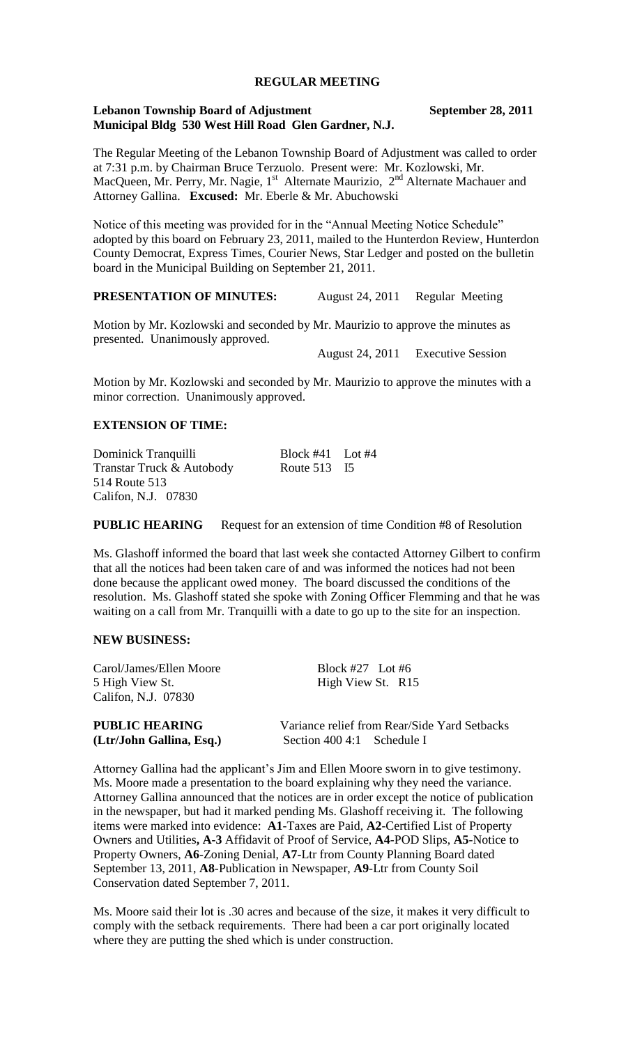### **REGULAR MEETING**

#### **Lebanon Township Board of Adjustment September 28, 2011 Municipal Bldg 530 West Hill Road Glen Gardner, N.J.**

The Regular Meeting of the Lebanon Township Board of Adjustment was called to order at 7:31 p.m. by Chairman Bruce Terzuolo. Present were: Mr. Kozlowski, Mr. MacQueen, Mr. Perry, Mr. Nagie, 1<sup>st</sup> Alternate Maurizio, 2<sup>nd</sup> Alternate Machauer and Attorney Gallina. **Excused:** Mr. Eberle & Mr. Abuchowski

Notice of this meeting was provided for in the "Annual Meeting Notice Schedule" adopted by this board on February 23, 2011, mailed to the Hunterdon Review, Hunterdon County Democrat, Express Times, Courier News, Star Ledger and posted on the bulletin board in the Municipal Building on September 21, 2011.

# **PRESENTATION OF MINUTES:** August 24, 2011 Regular Meeting

Motion by Mr. Kozlowski and seconded by Mr. Maurizio to approve the minutes as presented. Unanimously approved.

August 24, 2011 Executive Session

Motion by Mr. Kozlowski and seconded by Mr. Maurizio to approve the minutes with a minor correction. Unanimously approved.

#### **EXTENSION OF TIME:**

| Dominick Tranquilli       | Block #41 Lot #4 |  |
|---------------------------|------------------|--|
| Transtar Truck & Autobody | Route 513 I5     |  |
| 514 Route 513             |                  |  |
| Califon, N.J. 07830       |                  |  |

**PUBLIC HEARING** Request for an extension of time Condition #8 of Resolution

Ms. Glashoff informed the board that last week she contacted Attorney Gilbert to confirm that all the notices had been taken care of and was informed the notices had not been done because the applicant owed money. The board discussed the conditions of the resolution. Ms. Glashoff stated she spoke with Zoning Officer Flemming and that he was waiting on a call from Mr. Tranquilli with a date to go up to the site for an inspection.

#### **NEW BUSINESS:**

| Carol/James/Ellen Moore                | Block #27 Lot #6                             |
|----------------------------------------|----------------------------------------------|
| 5 High View St.<br>Califon, N.J. 07830 | High View St. R15                            |
| <b>PUBLIC HEARING</b>                  | Variance relief from Rear/Side Yard Setbacks |
| (Ltr/John Gallina, Esq.)               | Section 400 4:1 Schedule I                   |

Attorney Gallina had the applicant's Jim and Ellen Moore sworn in to give testimony. Ms. Moore made a presentation to the board explaining why they need the variance. Attorney Gallina announced that the notices are in order except the notice of publication in the newspaper, but had it marked pending Ms. Glashoff receiving it. The following items were marked into evidence: **A1**-Taxes are Paid, **A2**-Certified List of Property Owners and Utilities**, A-3** Affidavit of Proof of Service, **A4**-POD Slips, **A5**-Notice to Property Owners, **A6**-Zoning Denial, **A7-**Ltr from County Planning Board dated September 13, 2011, **A8**-Publication in Newspaper, **A9**-Ltr from County Soil Conservation dated September 7, 2011.

Ms. Moore said their lot is .30 acres and because of the size, it makes it very difficult to comply with the setback requirements. There had been a car port originally located where they are putting the shed which is under construction.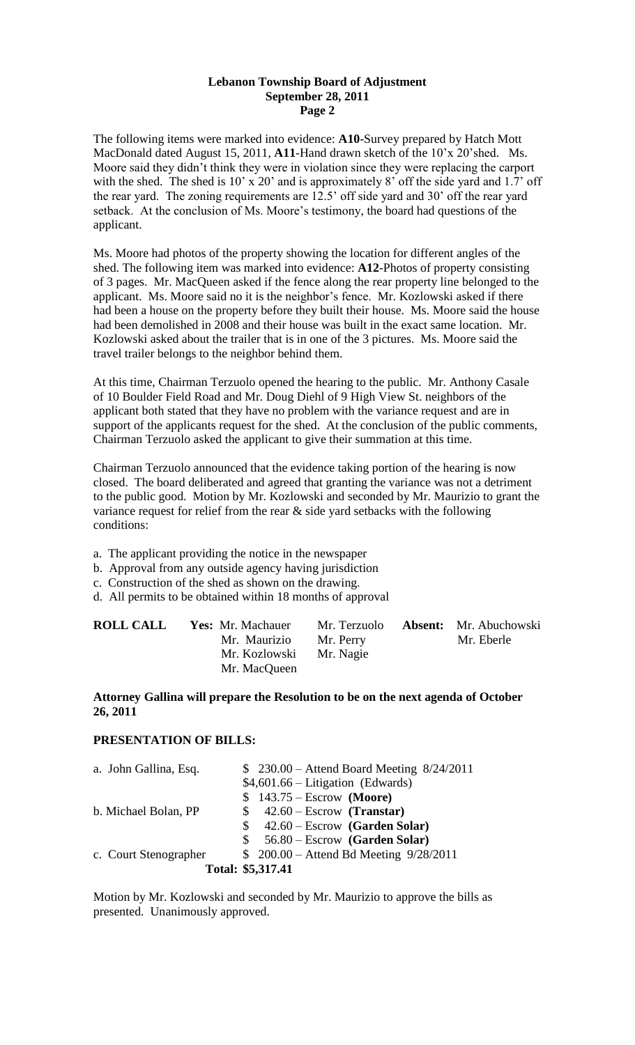#### **Lebanon Township Board of Adjustment September 28, 2011 Page 2**

The following items were marked into evidence: **A10**-Survey prepared by Hatch Mott MacDonald dated August 15, 2011, **A11**-Hand drawn sketch of the 10'x 20'shed. Ms. Moore said they didn't think they were in violation since they were replacing the carport with the shed. The shed is 10' x 20' and is approximately 8' off the side yard and 1.7' off the rear yard. The zoning requirements are 12.5' off side yard and 30' off the rear yard setback. At the conclusion of Ms. Moore's testimony, the board had questions of the applicant.

Ms. Moore had photos of the property showing the location for different angles of the shed. The following item was marked into evidence: **A12**-Photos of property consisting of 3 pages. Mr. MacQueen asked if the fence along the rear property line belonged to the applicant. Ms. Moore said no it is the neighbor's fence. Mr. Kozlowski asked if there had been a house on the property before they built their house. Ms. Moore said the house had been demolished in 2008 and their house was built in the exact same location. Mr. Kozlowski asked about the trailer that is in one of the 3 pictures. Ms. Moore said the travel trailer belongs to the neighbor behind them.

At this time, Chairman Terzuolo opened the hearing to the public. Mr. Anthony Casale of 10 Boulder Field Road and Mr. Doug Diehl of 9 High View St. neighbors of the applicant both stated that they have no problem with the variance request and are in support of the applicants request for the shed. At the conclusion of the public comments, Chairman Terzuolo asked the applicant to give their summation at this time.

Chairman Terzuolo announced that the evidence taking portion of the hearing is now closed. The board deliberated and agreed that granting the variance was not a detriment to the public good. Motion by Mr. Kozlowski and seconded by Mr. Maurizio to grant the variance request for relief from the rear  $\&$  side yard setbacks with the following conditions:

- a. The applicant providing the notice in the newspaper
- b. Approval from any outside agency having jurisdiction
- c. Construction of the shed as shown on the drawing.
- d. All permits to be obtained within 18 months of approval

| <b>ROLL CALL</b> | <b>Yes:</b> Mr. Machauer | Mr. Terzuolo | <b>Absent:</b> Mr. Abuchowski |
|------------------|--------------------------|--------------|-------------------------------|
|                  | Mr. Maurizio             | Mr. Perry    | Mr. Eberle                    |
|                  | Mr. Kozlowski            | Mr. Nagie    |                               |
|                  | Mr. MacQueen             |              |                               |

# **Attorney Gallina will prepare the Resolution to be on the next agenda of October 26, 2011**

# **PRESENTATION OF BILLS:**

| a. John Gallina, Esq. | $$230.00 - Attend$ Board Meeting $8/24/2011$ |  |
|-----------------------|----------------------------------------------|--|
|                       | $$4,601.66$ – Litigation (Edwards)           |  |
|                       | $$143.75 - Escrow$ (Moore)                   |  |
| b. Michael Bolan, PP  | $$42.60 - Escrow$ (Transtar)                 |  |
|                       | $42.60 - Escrow$ (Garden Solar)<br>S.        |  |
|                       | 56.80 – Escrow (Garden Solar)<br>S.          |  |
| c. Court Stenographer | \$ 200.00 - Attend Bd Meeting 9/28/2011      |  |
| Total: \$5,317.41     |                                              |  |

Motion by Mr. Kozlowski and seconded by Mr. Maurizio to approve the bills as presented. Unanimously approved.